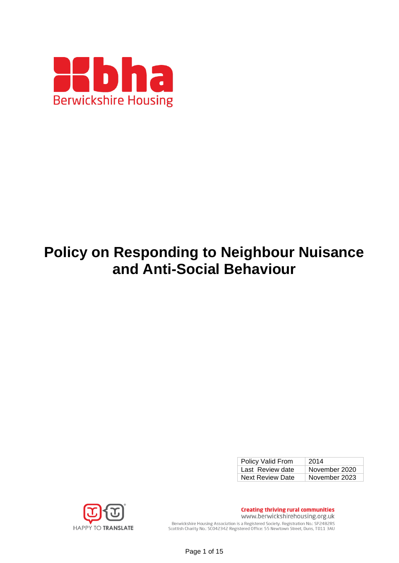

# **Policy on Responding to Neighbour Nuisance and Anti-Social Behaviour**

| Policy Valid From       | 2014          |
|-------------------------|---------------|
| Last Review date        | November 2020 |
| <b>Next Review Date</b> | November 2023 |



**Creating thriving rural communities** www.berwickshirehousing.org.uk Berwickshire Housing Association is a Registered Society. Registration No.: SP2482RS Scottish Charity No.: SC042342 Registered Office: 55 Newtown Street, Duns, TD11 3AU

Page 1 of 15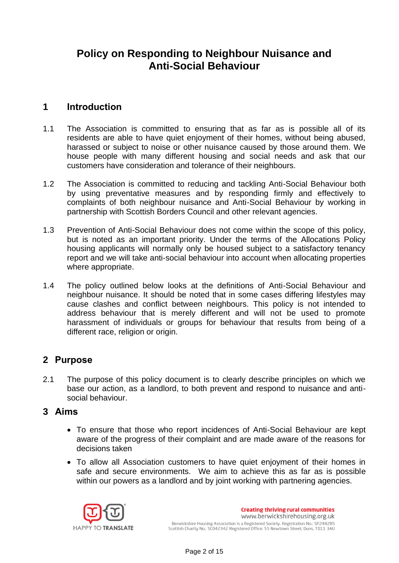# **Policy on Responding to Neighbour Nuisance and Anti-Social Behaviour**

## **1 Introduction**

- 1.1 The Association is committed to ensuring that as far as is possible all of its residents are able to have quiet enjoyment of their homes, without being abused, harassed or subject to noise or other nuisance caused by those around them. We house people with many different housing and social needs and ask that our customers have consideration and tolerance of their neighbours.
- 1.2 The Association is committed to reducing and tackling Anti-Social Behaviour both by using preventative measures and by responding firmly and effectively to complaints of both neighbour nuisance and Anti-Social Behaviour by working in partnership with Scottish Borders Council and other relevant agencies.
- 1.3 Prevention of Anti-Social Behaviour does not come within the scope of this policy, but is noted as an important priority. Under the terms of the Allocations Policy housing applicants will normally only be housed subject to a satisfactory tenancy report and we will take anti-social behaviour into account when allocating properties where appropriate.
- 1.4 The policy outlined below looks at the definitions of Anti-Social Behaviour and neighbour nuisance. It should be noted that in some cases differing lifestyles may cause clashes and conflict between neighbours. This policy is not intended to address behaviour that is merely different and will not be used to promote harassment of individuals or groups for behaviour that results from being of a different race, religion or origin.

## **2 Purpose**

2.1 The purpose of this policy document is to clearly describe principles on which we base our action, as a landlord, to both prevent and respond to nuisance and antisocial behaviour.

#### **3 Aims**

- To ensure that those who report incidences of Anti-Social Behaviour are kept aware of the progress of their complaint and are made aware of the reasons for decisions taken
- To allow all Association customers to have quiet enjoyment of their homes in safe and secure environments. We aim to achieve this as far as is possible within our powers as a landlord and by joint working with partnering agencies.

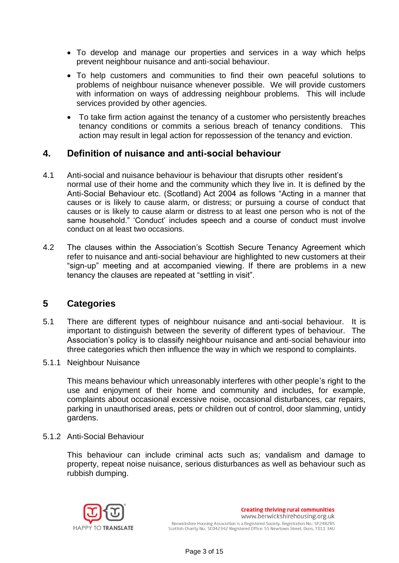- To develop and manage our properties and services in a way which helps prevent neighbour nuisance and anti-social behaviour.
- To help customers and communities to find their own peaceful solutions to problems of neighbour nuisance whenever possible. We will provide customers with information on ways of addressing neighbour problems. This will include services provided by other agencies.
- To take firm action against the tenancy of a customer who persistently breaches tenancy conditions or commits a serious breach of tenancy conditions. This action may result in legal action for repossession of the tenancy and eviction.

## **4. Definition of nuisance and anti-social behaviour**

- 4.1 Anti-social and nuisance behaviour is behaviour that disrupts other resident's normal use of their home and the community which they live in. It is defined by the Anti-Social Behaviour etc. (Scotland) Act 2004 as follows "Acting in a manner that causes or is likely to cause alarm, or distress; or pursuing a course of conduct that causes or is likely to cause alarm or distress to at least one person who is not of the same household." 'Conduct' includes speech and a course of conduct must involve conduct on at least two occasions.
- 4.2 The clauses within the Association's Scottish Secure Tenancy Agreement which refer to nuisance and anti-social behaviour are highlighted to new customers at their "sign-up" meeting and at accompanied viewing. If there are problems in a new tenancy the clauses are repeated at "settling in visit".

## **5 Categories**

- 5.1 There are different types of neighbour nuisance and anti-social behaviour. It is important to distinguish between the severity of different types of behaviour. The Association's policy is to classify neighbour nuisance and anti-social behaviour into three categories which then influence the way in which we respond to complaints.
- 5.1.1 Neighbour Nuisance

This means behaviour which unreasonably interferes with other people's right to the use and enjoyment of their home and community and includes, for example, complaints about occasional excessive noise, occasional disturbances, car repairs, parking in unauthorised areas, pets or children out of control, door slamming, untidy gardens.

5.1.2 Anti-Social Behaviour

This behaviour can include criminal acts such as; vandalism and damage to property, repeat noise nuisance, serious disturbances as well as behaviour such as rubbish dumping.

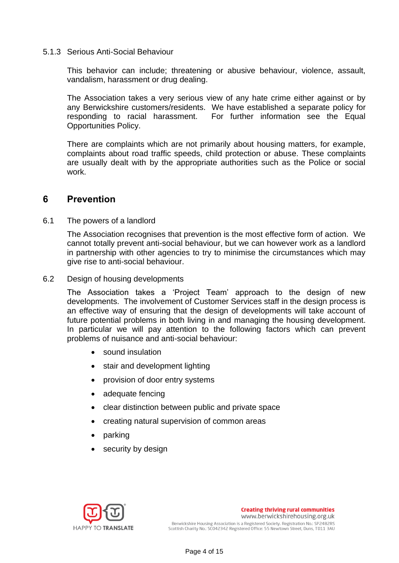#### 5.1.3 Serious Anti-Social Behaviour

This behavior can include; threatening or abusive behaviour, violence, assault, vandalism, harassment or drug dealing.

The Association takes a very serious view of any hate crime either against or by any Berwickshire customers/residents. We have established a separate policy for responding to racial harassment. For further information see the Equal Opportunities Policy.

There are complaints which are not primarily about housing matters, for example, complaints about road traffic speeds, child protection or abuse. These complaints are usually dealt with by the appropriate authorities such as the Police or social work.

#### **6 Prevention**

6.1 The powers of a landlord

The Association recognises that prevention is the most effective form of action. We cannot totally prevent anti-social behaviour, but we can however work as a landlord in partnership with other agencies to try to minimise the circumstances which may give rise to anti-social behaviour.

6.2 Design of housing developments

The Association takes a 'Project Team' approach to the design of new developments. The involvement of Customer Services staff in the design process is an effective way of ensuring that the design of developments will take account of future potential problems in both living in and managing the housing development. In particular we will pay attention to the following factors which can prevent problems of nuisance and anti-social behaviour:

- sound insulation
- stair and development lighting
- provision of door entry systems
- adequate fencing
- clear distinction between public and private space
- creating natural supervision of common areas
- parking
- security by design

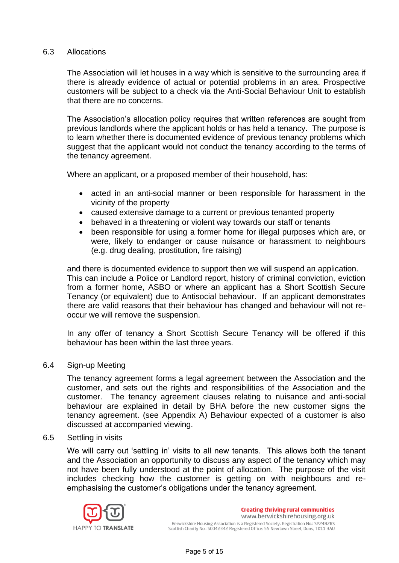#### 6.3 Allocations

The Association will let houses in a way which is sensitive to the surrounding area if there is already evidence of actual or potential problems in an area. Prospective customers will be subject to a check via the Anti-Social Behaviour Unit to establish that there are no concerns.

The Association's allocation policy requires that written references are sought from previous landlords where the applicant holds or has held a tenancy. The purpose is to learn whether there is documented evidence of previous tenancy problems which suggest that the applicant would not conduct the tenancy according to the terms of the tenancy agreement.

Where an applicant, or a proposed member of their household, has:

- acted in an anti-social manner or been responsible for harassment in the vicinity of the property
- caused extensive damage to a current or previous tenanted property
- behaved in a threatening or violent way towards our staff or tenants
- been responsible for using a former home for illegal purposes which are, or were, likely to endanger or cause nuisance or harassment to neighbours (e.g. drug dealing, prostitution, fire raising)

and there is documented evidence to support then we will suspend an application. This can include a Police or Landlord report, history of criminal conviction, eviction from a former home, ASBO or where an applicant has a Short Scottish Secure Tenancy (or equivalent) due to Antisocial behaviour. If an applicant demonstrates there are valid reasons that their behaviour has changed and behaviour will not reoccur we will remove the suspension.

In any offer of tenancy a Short Scottish Secure Tenancy will be offered if this behaviour has been within the last three years.

#### 6.4 Sign-up Meeting

The tenancy agreement forms a legal agreement between the Association and the customer, and sets out the rights and responsibilities of the Association and the customer. The tenancy agreement clauses relating to nuisance and anti-social behaviour are explained in detail by BHA before the new customer signs the tenancy agreement. (see Appendix A) Behaviour expected of a customer is also discussed at accompanied viewing.

#### 6.5 Settling in visits

We will carry out 'settling in' visits to all new tenants. This allows both the tenant and the Association an opportunity to discuss any aspect of the tenancy which may not have been fully understood at the point of allocation. The purpose of the visit includes checking how the customer is getting on with neighbours and reemphasising the customer's obligations under the tenancy agreement.

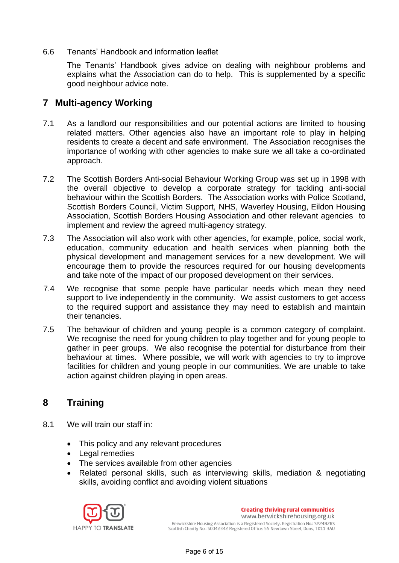6.6 Tenants' Handbook and information leaflet

The Tenants' Handbook gives advice on dealing with neighbour problems and explains what the Association can do to help. This is supplemented by a specific good neighbour advice note.

## **7 Multi-agency Working**

- 7.1 As a landlord our responsibilities and our potential actions are limited to housing related matters. Other agencies also have an important role to play in helping residents to create a decent and safe environment. The Association recognises the importance of working with other agencies to make sure we all take a co-ordinated approach.
- 7.2 The Scottish Borders Anti-social Behaviour Working Group was set up in 1998 with the overall objective to develop a corporate strategy for tackling anti-social behaviour within the Scottish Borders. The Association works with Police Scotland, Scottish Borders Council, Victim Support, NHS, Waverley Housing, Eildon Housing Association, Scottish Borders Housing Association and other relevant agencies to implement and review the agreed multi-agency strategy.
- 7.3 The Association will also work with other agencies, for example, police, social work, education, community education and health services when planning both the physical development and management services for a new development. We will encourage them to provide the resources required for our housing developments and take note of the impact of our proposed development on their services.
- 7.4 We recognise that some people have particular needs which mean they need support to live independently in the community. We assist customers to get access to the required support and assistance they may need to establish and maintain their tenancies.
- 7.5 The behaviour of children and young people is a common category of complaint. We recognise the need for young children to play together and for young people to gather in peer groups. We also recognise the potential for disturbance from their behaviour at times. Where possible, we will work with agencies to try to improve facilities for children and young people in our communities. We are unable to take action against children playing in open areas.

## **8 Training**

- 8.1 We will train our staff in:
	- This policy and any relevant procedures
	- Legal remedies
	- The services available from other agencies
	- Related personal skills, such as interviewing skills, mediation & negotiating skills, avoiding conflict and avoiding violent situations

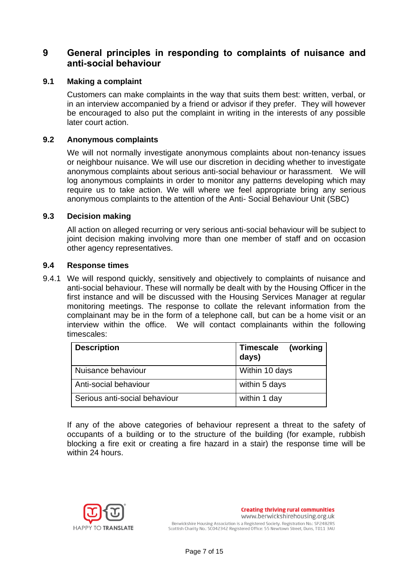## **9 General principles in responding to complaints of nuisance and anti-social behaviour**

#### **9.1 Making a complaint**

Customers can make complaints in the way that suits them best: written, verbal, or in an interview accompanied by a friend or advisor if they prefer. They will however be encouraged to also put the complaint in writing in the interests of any possible later court action.

#### **9.2 Anonymous complaints**

We will not normally investigate anonymous complaints about non-tenancy issues or neighbour nuisance. We will use our discretion in deciding whether to investigate anonymous complaints about serious anti-social behaviour or harassment. We will log anonymous complaints in order to monitor any patterns developing which may require us to take action. We will where we feel appropriate bring any serious anonymous complaints to the attention of the Anti- Social Behaviour Unit (SBC)

#### **9.3 Decision making**

All action on alleged recurring or very serious anti-social behaviour will be subject to joint decision making involving more than one member of staff and on occasion other agency representatives.

#### **9.4 Response times**

9.4.1 We will respond quickly, sensitively and objectively to complaints of nuisance and anti-social behaviour. These will normally be dealt with by the Housing Officer in the first instance and will be discussed with the Housing Services Manager at regular monitoring meetings. The response to collate the relevant information from the complainant may be in the form of a telephone call, but can be a home visit or an interview within the office. We will contact complainants within the following timescales:

| <b>Description</b>            | (working<br><b>Timescale</b><br>days) |
|-------------------------------|---------------------------------------|
| Nuisance behaviour            | Within 10 days                        |
| Anti-social behaviour         | within 5 days                         |
| Serious anti-social behaviour | within 1 day                          |

If any of the above categories of behaviour represent a threat to the safety of occupants of a building or to the structure of the building (for example, rubbish blocking a fire exit or creating a fire hazard in a stair) the response time will be within 24 hours.

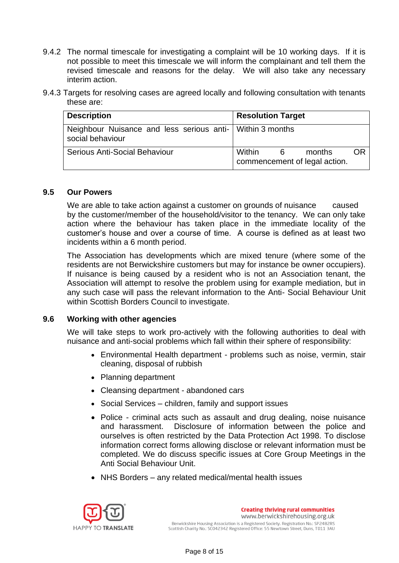- 9.4.2 The normal timescale for investigating a complaint will be 10 working days. If it is not possible to meet this timescale we will inform the complainant and tell them the revised timescale and reasons for the delay. We will also take any necessary interim action.
- 9.4.3 Targets for resolving cases are agreed locally and following consultation with tenants these are:

| <b>Description</b>                                                            | <b>Resolution Target</b>                                         |
|-------------------------------------------------------------------------------|------------------------------------------------------------------|
| Neighbour Nuisance and less serious anti- Within 3 months<br>social behaviour |                                                                  |
| Serious Anti-Social Behaviour                                                 | Within<br>OR<br>months<br>- 6 -<br>commencement of legal action. |

#### **9.5 Our Powers**

We are able to take action against a customer on grounds of nuisance caused by the customer/member of the household/visitor to the tenancy. We can only take action where the behaviour has taken place in the immediate locality of the customer's house and over a course of time. A course is defined as at least two incidents within a 6 month period.

The Association has developments which are mixed tenure (where some of the residents are not Berwickshire customers but may for instance be owner occupiers). If nuisance is being caused by a resident who is not an Association tenant, the Association will attempt to resolve the problem using for example mediation, but in any such case will pass the relevant information to the Anti- Social Behaviour Unit within Scottish Borders Council to investigate.

#### **9.6 Working with other agencies**

We will take steps to work pro-actively with the following authorities to deal with nuisance and anti-social problems which fall within their sphere of responsibility:

- Environmental Health department problems such as noise, vermin, stair cleaning, disposal of rubbish
- Planning department
- Cleansing department abandoned cars
- Social Services children, family and support issues
- Police criminal acts such as assault and drug dealing, noise nuisance and harassment. Disclosure of information between the police and ourselves is often restricted by the Data Protection Act 1998. To disclose information correct forms allowing disclose or relevant information must be completed. We do discuss specific issues at Core Group Meetings in the Anti Social Behaviour Unit.
- NHS Borders any related medical/mental health issues

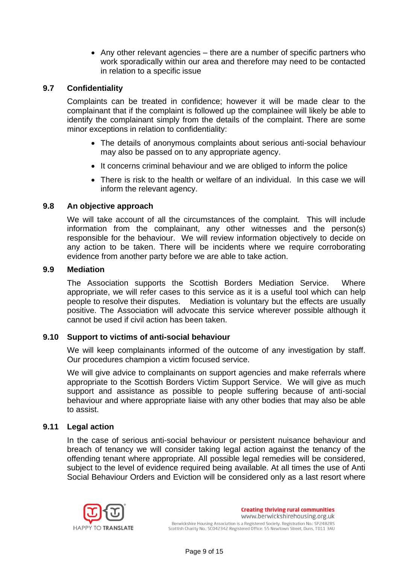• Any other relevant agencies – there are a number of specific partners who work sporadically within our area and therefore may need to be contacted in relation to a specific issue

#### **9.7 Confidentiality**

Complaints can be treated in confidence; however it will be made clear to the complainant that if the complaint is followed up the complainee will likely be able to identify the complainant simply from the details of the complaint. There are some minor exceptions in relation to confidentiality:

- The details of anonymous complaints about serious anti-social behaviour may also be passed on to any appropriate agency.
- It concerns criminal behaviour and we are obliged to inform the police
- There is risk to the health or welfare of an individual. In this case we will inform the relevant agency.

#### **9.8 An objective approach**

We will take account of all the circumstances of the complaint. This will include information from the complainant, any other witnesses and the person(s) responsible for the behaviour. We will review information objectively to decide on any action to be taken. There will be incidents where we require corroborating evidence from another party before we are able to take action.

#### **9.9 Mediation**

The Association supports the Scottish Borders Mediation Service. Where appropriate, we will refer cases to this service as it is a useful tool which can help people to resolve their disputes. Mediation is voluntary but the effects are usually positive. The Association will advocate this service wherever possible although it cannot be used if civil action has been taken.

#### **9.10 Support to victims of anti-social behaviour**

We will keep complainants informed of the outcome of any investigation by staff. Our procedures champion a victim focused service.

We will give advice to complainants on support agencies and make referrals where appropriate to the Scottish Borders Victim Support Service. We will give as much support and assistance as possible to people suffering because of anti-social behaviour and where appropriate liaise with any other bodies that may also be able to assist.

#### **9.11 Legal action**

In the case of serious anti-social behaviour or persistent nuisance behaviour and breach of tenancy we will consider taking legal action against the tenancy of the offending tenant where appropriate. All possible legal remedies will be considered, subject to the level of evidence required being available. At all times the use of Anti Social Behaviour Orders and Eviction will be considered only as a last resort where

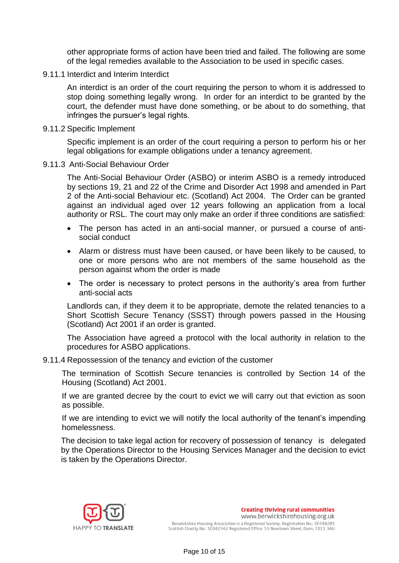other appropriate forms of action have been tried and failed. The following are some of the legal remedies available to the Association to be used in specific cases.

9.11.1 Interdict and Interim Interdict

An interdict is an order of the court requiring the person to whom it is addressed to stop doing something legally wrong. In order for an interdict to be granted by the court, the defender must have done something, or be about to do something, that infringes the pursuer's legal rights.

9.11.2 Specific Implement

Specific implement is an order of the court requiring a person to perform his or her legal obligations for example obligations under a tenancy agreement.

9.11.3 Anti-Social Behaviour Order

The Anti-Social Behaviour Order (ASBO) or interim ASBO is a remedy introduced by sections 19, 21 and 22 of the Crime and Disorder Act 1998 and amended in Part 2 of the Anti-social Behaviour etc. (Scotland) Act 2004. The Order can be granted against an individual aged over 12 years following an application from a local authority or RSL. The court may only make an order if three conditions are satisfied:

- The person has acted in an anti-social manner, or pursued a course of antisocial conduct
- Alarm or distress must have been caused, or have been likely to be caused, to one or more persons who are not members of the same household as the person against whom the order is made
- The order is necessary to protect persons in the authority's area from further anti-social acts

Landlords can, if they deem it to be appropriate, demote the related tenancies to a Short Scottish Secure Tenancy (SSST) through powers passed in the Housing (Scotland) Act 2001 if an order is granted.

The Association have agreed a protocol with the local authority in relation to the procedures for ASBO applications.

9.11.4 Repossession of the tenancy and eviction of the customer

The termination of Scottish Secure tenancies is controlled by Section 14 of the Housing (Scotland) Act 2001.

If we are granted decree by the court to evict we will carry out that eviction as soon as possible.

If we are intending to evict we will notify the local authority of the tenant's impending homelessness.

The decision to take legal action for recovery of possession of tenancy is delegated by the Operations Director to the Housing Services Manager and the decision to evict is taken by the Operations Director.

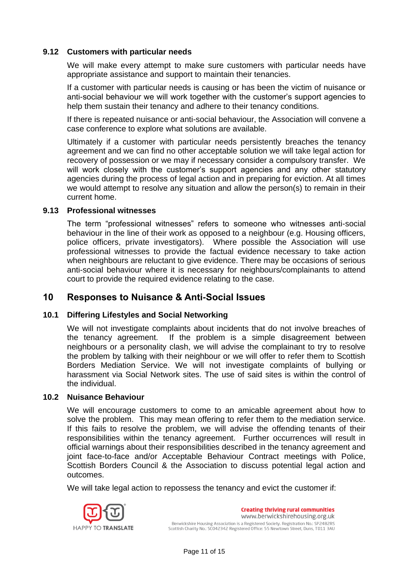#### **9.12 Customers with particular needs**

We will make every attempt to make sure customers with particular needs have appropriate assistance and support to maintain their tenancies.

If a customer with particular needs is causing or has been the victim of nuisance or anti-social behaviour we will work together with the customer's support agencies to help them sustain their tenancy and adhere to their tenancy conditions.

If there is repeated nuisance or anti-social behaviour, the Association will convene a case conference to explore what solutions are available.

Ultimately if a customer with particular needs persistently breaches the tenancy agreement and we can find no other acceptable solution we will take legal action for recovery of possession or we may if necessary consider a compulsory transfer. We will work closely with the customer's support agencies and any other statutory agencies during the process of legal action and in preparing for eviction. At all times we would attempt to resolve any situation and allow the person(s) to remain in their current home.

#### **9.13 Professional witnesses**

The term "professional witnesses" refers to someone who witnesses anti-social behaviour in the line of their work as opposed to a neighbour (e.g. Housing officers, police officers, private investigators). Where possible the Association will use professional witnesses to provide the factual evidence necessary to take action when neighbours are reluctant to give evidence. There may be occasions of serious anti-social behaviour where it is necessary for neighbours/complainants to attend court to provide the required evidence relating to the case.

## **10 Responses to Nuisance & Anti-Social Issues**

#### **10.1 Differing Lifestyles and Social Networking**

We will not investigate complaints about incidents that do not involve breaches of the tenancy agreement. If the problem is a simple disagreement between neighbours or a personality clash, we will advise the complainant to try to resolve the problem by talking with their neighbour or we will offer to refer them to Scottish Borders Mediation Service. We will not investigate complaints of bullying or harassment via Social Network sites. The use of said sites is within the control of the individual.

#### **10.2 Nuisance Behaviour**

We will encourage customers to come to an amicable agreement about how to solve the problem. This may mean offering to refer them to the mediation service. If this fails to resolve the problem, we will advise the offending tenants of their responsibilities within the tenancy agreement. Further occurrences will result in official warnings about their responsibilities described in the tenancy agreement and joint face-to-face and/or Acceptable Behaviour Contract meetings with Police, Scottish Borders Council & the Association to discuss potential legal action and outcomes.

We will take legal action to repossess the tenancy and evict the customer if:

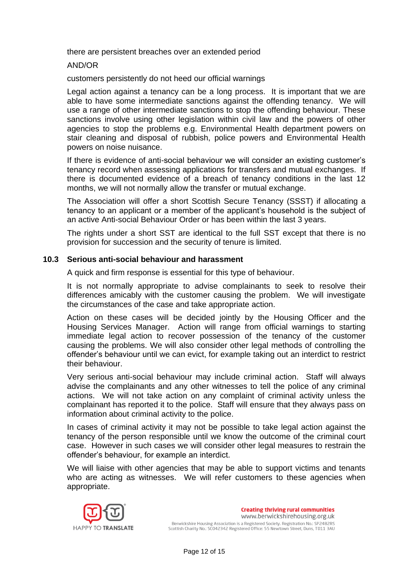there are persistent breaches over an extended period

AND/OR

customers persistently do not heed our official warnings

Legal action against a tenancy can be a long process. It is important that we are able to have some intermediate sanctions against the offending tenancy. We will use a range of other intermediate sanctions to stop the offending behaviour. These sanctions involve using other legislation within civil law and the powers of other agencies to stop the problems e.g. Environmental Health department powers on stair cleaning and disposal of rubbish, police powers and Environmental Health powers on noise nuisance.

If there is evidence of anti-social behaviour we will consider an existing customer's tenancy record when assessing applications for transfers and mutual exchanges. If there is documented evidence of a breach of tenancy conditions in the last 12 months, we will not normally allow the transfer or mutual exchange.

The Association will offer a short Scottish Secure Tenancy (SSST) if allocating a tenancy to an applicant or a member of the applicant's household is the subject of an active Anti-social Behaviour Order or has been within the last 3 years.

The rights under a short SST are identical to the full SST except that there is no provision for succession and the security of tenure is limited.

#### **10.3 Serious anti-social behaviour and harassment**

A quick and firm response is essential for this type of behaviour.

It is not normally appropriate to advise complainants to seek to resolve their differences amicably with the customer causing the problem. We will investigate the circumstances of the case and take appropriate action.

Action on these cases will be decided jointly by the Housing Officer and the Housing Services Manager. Action will range from official warnings to starting immediate legal action to recover possession of the tenancy of the customer causing the problems. We will also consider other legal methods of controlling the offender's behaviour until we can evict, for example taking out an interdict to restrict their behaviour.

Very serious anti-social behaviour may include criminal action. Staff will always advise the complainants and any other witnesses to tell the police of any criminal actions. We will not take action on any complaint of criminal activity unless the complainant has reported it to the police. Staff will ensure that they always pass on information about criminal activity to the police.

In cases of criminal activity it may not be possible to take legal action against the tenancy of the person responsible until we know the outcome of the criminal court case. However in such cases we will consider other legal measures to restrain the offender's behaviour, for example an interdict.

We will liaise with other agencies that may be able to support victims and tenants who are acting as witnesses. We will refer customers to these agencies when appropriate.

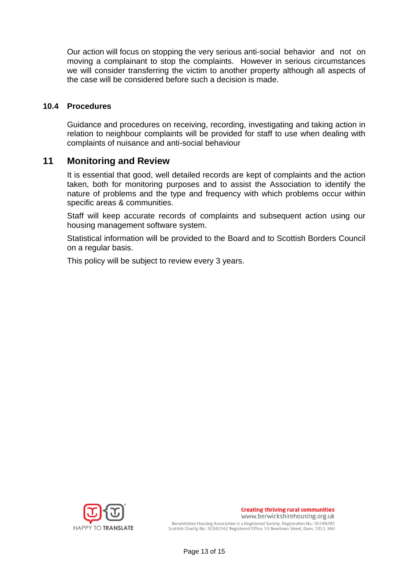Our action will focus on stopping the very serious anti-social behavior and not on moving a complainant to stop the complaints. However in serious circumstances we will consider transferring the victim to another property although all aspects of the case will be considered before such a decision is made.

#### **10.4 Procedures**

Guidance and procedures on receiving, recording, investigating and taking action in relation to neighbour complaints will be provided for staff to use when dealing with complaints of nuisance and anti-social behaviour

## **11 Monitoring and Review**

It is essential that good, well detailed records are kept of complaints and the action taken, both for monitoring purposes and to assist the Association to identify the nature of problems and the type and frequency with which problems occur within specific areas & communities.

Staff will keep accurate records of complaints and subsequent action using our housing management software system.

Statistical information will be provided to the Board and to Scottish Borders Council on a regular basis.

This policy will be subject to review every 3 years.

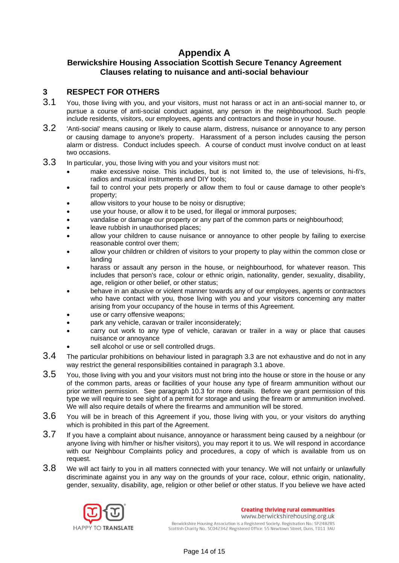## **Appendix A**

#### **Berwickshire Housing Association Scottish Secure Tenancy Agreement Clauses relating to nuisance and anti-social behaviour**

#### **3 RESPECT FOR OTHERS**

- 3.1 You, those living with you, and your visitors, must not harass or act in an anti-social manner to, or pursue a course of anti-social conduct against, any person in the neighbourhood. Such people include residents, visitors, our employees, agents and contractors and those in your house.
- 3.2 'Anti-social' means causing or likely to cause alarm, distress, nuisance or annoyance to any person or causing damage to anyone's property. Harassment of a person includes causing the person alarm or distress. Conduct includes speech. A course of conduct must involve conduct on at least two occasions.
- 3.3 In particular, you, those living with you and your visitors must not:
	- make excessive noise. This includes, but is not limited to, the use of televisions, hi-fi's, radios and musical instruments and DIY tools;
	- fail to control your pets properly or allow them to foul or cause damage to other people's property;
	- allow visitors to your house to be noisy or disruptive;
	- use your house, or allow it to be used, for illegal or immoral purposes;
	- vandalise or damage our property or any part of the common parts or neighbourhood;
	- leave rubbish in unauthorised places;
	- allow your children to cause nuisance or annoyance to other people by failing to exercise reasonable control over them;
	- allow your children or children of visitors to your property to play within the common close or landing
	- harass or assault any person in the house, or neighbourhood, for whatever reason. This includes that person's race, colour or ethnic origin, nationality, gender, sexuality, disability, age, religion or other belief, or other status;
	- behave in an abusive or violent manner towards any of our employees, agents or contractors who have contact with you, those living with you and your visitors concerning any matter arising from your occupancy of the house in terms of this Agreement.
	- use or carry offensive weapons;
	- park any vehicle, caravan or trailer inconsiderately;
	- carry out work to any type of vehicle, caravan or trailer in a way or place that causes nuisance or annoyance
	- sell alcohol or use or sell controlled drugs.
- 3.4 The particular prohibitions on behaviour listed in paragraph 3.3 are not exhaustive and do not in any way restrict the general responsibilities contained in paragraph 3.1 above.
- 3.5 You, those living with you and your visitors must not bring into the house or store in the house or any of the common parts, areas or facilities of your house any type of firearm ammunition without our prior written permission. See paragraph 10.3 for more details. Before we grant permission of this type we will require to see sight of a permit for storage and using the firearm or ammunition involved. We will also require details of where the firearms and ammunition will be stored.
- 3.6 You will be in breach of this Agreement if you, those living with you, or your visitors do anything which is prohibited in this part of the Agreement.
- 3.7 If you have a complaint about nuisance, annoyance or harassment being caused by a neighbour (or anyone living with him/her or his/her visitors), you may report it to us. We will respond in accordance with our Neighbour Complaints policy and procedures, a copy of which is available from us on request.
- 3.8 We will act fairly to you in all matters connected with your tenancy. We will not unfairly or unlawfully discriminate against you in any way on the grounds of your race, colour, ethnic origin, nationality, gender, sexuality, disability, age, religion or other belief or other status. If you believe we have acted